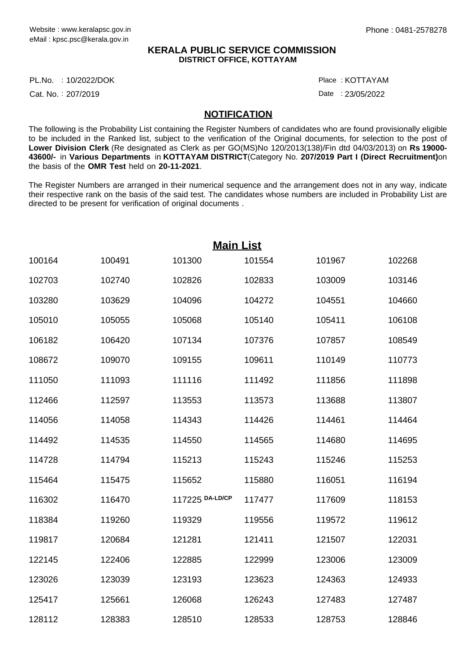## **KERALA PUBLIC SERVICE COMMISSION DISTRICT OFFICE, KOTTAYAM**

PL.No. : 10/2022/DOK Participate of the control of the control of the control of the control of the control of

Cat. No.: 207/2019

: KOTTAYAM

Date: 23/05/2022

## **NOTIFICATION**

The following is the Probability List containing the Register Numbers of candidates who are found provisionally eligible to be included in the Ranked list, subject to the verification of the Original documents, for selection to the post of **Lower Division Clerk** (Re designated as Clerk as per GO(MS)No 120/2013(138)/Fin dtd 04/03/2013) on **Rs 19000- 43600/-** in **Various Departments** in **KOTTAYAM DISTRICT**(Category No. **207/2019 Part I (Direct Recruitment)**on the basis of the **OMR Test** held on **20-11-2021**.

The Register Numbers are arranged in their numerical sequence and the arrangement does not in any way, indicate their respective rank on the basis of the said test. The candidates whose numbers are included in Probability List are directed to be present for verification of original documents .

|        |        |                 | <b>Main List</b> |        |        |
|--------|--------|-----------------|------------------|--------|--------|
| 100164 | 100491 | 101300          | 101554           | 101967 | 102268 |
| 102703 | 102740 | 102826          | 102833           | 103009 | 103146 |
| 103280 | 103629 | 104096          | 104272           | 104551 | 104660 |
| 105010 | 105055 | 105068          | 105140           | 105411 | 106108 |
| 106182 | 106420 | 107134          | 107376           | 107857 | 108549 |
| 108672 | 109070 | 109155          | 109611           | 110149 | 110773 |
| 111050 | 111093 | 111116          | 111492           | 111856 | 111898 |
| 112466 | 112597 | 113553          | 113573           | 113688 | 113807 |
| 114056 | 114058 | 114343          | 114426           | 114461 | 114464 |
| 114492 | 114535 | 114550          | 114565           | 114680 | 114695 |
| 114728 | 114794 | 115213          | 115243           | 115246 | 115253 |
| 115464 | 115475 | 115652          | 115880           | 116051 | 116194 |
| 116302 | 116470 | 117225 DA-LD/CP | 117477           | 117609 | 118153 |
| 118384 | 119260 | 119329          | 119556           | 119572 | 119612 |
| 119817 | 120684 | 121281          | 121411           | 121507 | 122031 |
| 122145 | 122406 | 122885          | 122999           | 123006 | 123009 |
| 123026 | 123039 | 123193          | 123623           | 124363 | 124933 |
| 125417 | 125661 | 126068          | 126243           | 127483 | 127487 |
| 128112 | 128383 | 128510          | 128533           | 128753 | 128846 |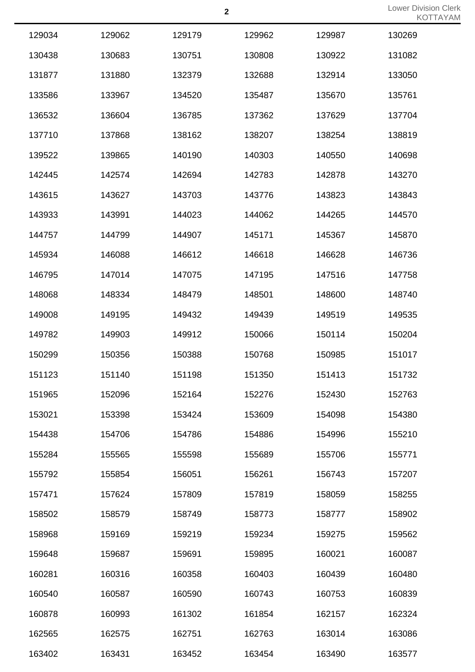| 129034 | 129062 | 129179 | 129962 | 129987 | 130269 |
|--------|--------|--------|--------|--------|--------|
| 130438 | 130683 | 130751 | 130808 | 130922 | 131082 |
| 131877 | 131880 | 132379 | 132688 | 132914 | 133050 |
| 133586 | 133967 | 134520 | 135487 | 135670 | 135761 |
| 136532 | 136604 | 136785 | 137362 | 137629 | 137704 |
| 137710 | 137868 | 138162 | 138207 | 138254 | 138819 |
| 139522 | 139865 | 140190 | 140303 | 140550 | 140698 |
| 142445 | 142574 | 142694 | 142783 | 142878 | 143270 |
| 143615 | 143627 | 143703 | 143776 | 143823 | 143843 |
| 143933 | 143991 | 144023 | 144062 | 144265 | 144570 |
| 144757 | 144799 | 144907 | 145171 | 145367 | 145870 |
| 145934 | 146088 | 146612 | 146618 | 146628 | 146736 |
| 146795 | 147014 | 147075 | 147195 | 147516 | 147758 |
| 148068 | 148334 | 148479 | 148501 | 148600 | 148740 |
| 149008 | 149195 | 149432 | 149439 | 149519 | 149535 |
| 149782 | 149903 | 149912 | 150066 | 150114 | 150204 |
| 150299 | 150356 | 150388 | 150768 | 150985 | 151017 |
| 151123 | 151140 | 151198 | 151350 | 151413 | 151732 |
| 151965 | 152096 | 152164 | 152276 | 152430 | 152763 |
| 153021 | 153398 | 153424 | 153609 | 154098 | 154380 |
| 154438 | 154706 | 154786 | 154886 | 154996 | 155210 |
| 155284 | 155565 | 155598 | 155689 | 155706 | 155771 |
| 155792 | 155854 | 156051 | 156261 | 156743 | 157207 |
| 157471 | 157624 | 157809 | 157819 | 158059 | 158255 |
| 158502 | 158579 | 158749 | 158773 | 158777 | 158902 |
| 158968 | 159169 | 159219 | 159234 | 159275 | 159562 |
| 159648 | 159687 | 159691 | 159895 | 160021 | 160087 |
| 160281 | 160316 | 160358 | 160403 | 160439 | 160480 |
| 160540 | 160587 | 160590 | 160743 | 160753 | 160839 |
| 160878 | 160993 | 161302 | 161854 | 162157 | 162324 |
| 162565 | 162575 | 162751 | 162763 | 163014 | 163086 |
| 163402 | 163431 | 163452 | 163454 | 163490 | 163577 |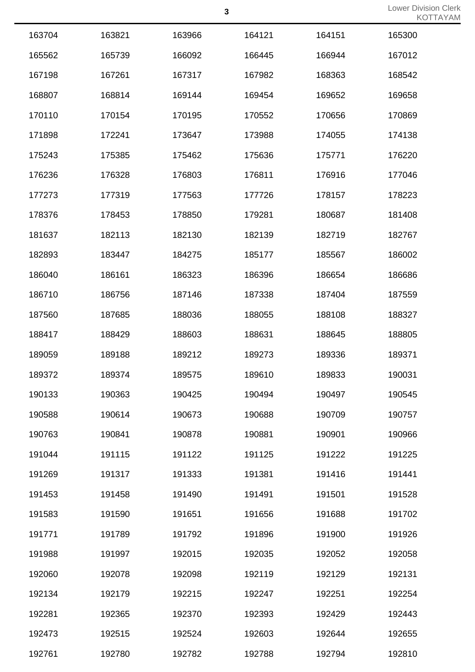|        |        |        |        |        | $\sim$ |
|--------|--------|--------|--------|--------|--------|
| 163704 | 163821 | 163966 | 164121 | 164151 | 165300 |
| 165562 | 165739 | 166092 | 166445 | 166944 | 167012 |
| 167198 | 167261 | 167317 | 167982 | 168363 | 168542 |
| 168807 | 168814 | 169144 | 169454 | 169652 | 169658 |
| 170110 | 170154 | 170195 | 170552 | 170656 | 170869 |
| 171898 | 172241 | 173647 | 173988 | 174055 | 174138 |
| 175243 | 175385 | 175462 | 175636 | 175771 | 176220 |
| 176236 | 176328 | 176803 | 176811 | 176916 | 177046 |
| 177273 | 177319 | 177563 | 177726 | 178157 | 178223 |
| 178376 | 178453 | 178850 | 179281 | 180687 | 181408 |
| 181637 | 182113 | 182130 | 182139 | 182719 | 182767 |
| 182893 | 183447 | 184275 | 185177 | 185567 | 186002 |
| 186040 | 186161 | 186323 | 186396 | 186654 | 186686 |
| 186710 | 186756 | 187146 | 187338 | 187404 | 187559 |
| 187560 | 187685 | 188036 | 188055 | 188108 | 188327 |
| 188417 | 188429 | 188603 | 188631 | 188645 | 188805 |
| 189059 | 189188 | 189212 | 189273 | 189336 | 189371 |
| 189372 | 189374 | 189575 | 189610 | 189833 | 190031 |
| 190133 | 190363 | 190425 | 190494 | 190497 | 190545 |
| 190588 | 190614 | 190673 | 190688 | 190709 | 190757 |
| 190763 | 190841 | 190878 | 190881 | 190901 | 190966 |
| 191044 | 191115 | 191122 | 191125 | 191222 | 191225 |
| 191269 | 191317 | 191333 | 191381 | 191416 | 191441 |
| 191453 | 191458 | 191490 | 191491 | 191501 | 191528 |
| 191583 | 191590 | 191651 | 191656 | 191688 | 191702 |
| 191771 | 191789 | 191792 | 191896 | 191900 | 191926 |
| 191988 | 191997 | 192015 | 192035 | 192052 | 192058 |
| 192060 | 192078 | 192098 | 192119 | 192129 | 192131 |
| 192134 | 192179 | 192215 | 192247 | 192251 | 192254 |
| 192281 | 192365 | 192370 | 192393 | 192429 | 192443 |
| 192473 | 192515 | 192524 | 192603 | 192644 | 192655 |
| 192761 | 192780 | 192782 | 192788 | 192794 | 192810 |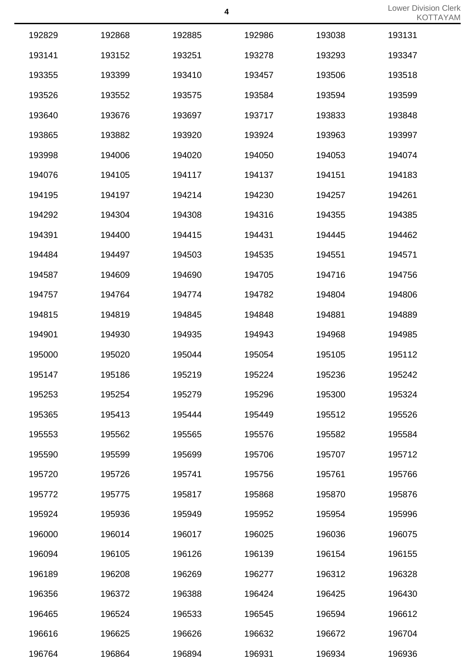Lower Division Clerk KOTTAYAM

| 192829 | 192868 | 192885 | 192986 | 193038 | 193131 |
|--------|--------|--------|--------|--------|--------|
| 193141 | 193152 | 193251 | 193278 | 193293 | 193347 |
| 193355 | 193399 | 193410 | 193457 | 193506 | 193518 |
| 193526 | 193552 | 193575 | 193584 | 193594 | 193599 |
| 193640 | 193676 | 193697 | 193717 | 193833 | 193848 |
| 193865 | 193882 | 193920 | 193924 | 193963 | 193997 |
| 193998 | 194006 | 194020 | 194050 | 194053 | 194074 |
| 194076 | 194105 | 194117 | 194137 | 194151 | 194183 |
| 194195 | 194197 | 194214 | 194230 | 194257 | 194261 |
| 194292 | 194304 | 194308 | 194316 | 194355 | 194385 |
| 194391 | 194400 | 194415 | 194431 | 194445 | 194462 |
| 194484 | 194497 | 194503 | 194535 | 194551 | 194571 |
| 194587 | 194609 | 194690 | 194705 | 194716 | 194756 |
| 194757 | 194764 | 194774 | 194782 | 194804 | 194806 |
| 194815 | 194819 | 194845 | 194848 | 194881 | 194889 |
| 194901 | 194930 | 194935 | 194943 | 194968 | 194985 |
| 195000 | 195020 | 195044 | 195054 | 195105 | 195112 |
| 195147 | 195186 | 195219 | 195224 | 195236 | 195242 |
| 195253 | 195254 | 195279 | 195296 | 195300 | 195324 |
| 195365 | 195413 | 195444 | 195449 | 195512 | 195526 |
| 195553 | 195562 | 195565 | 195576 | 195582 | 195584 |
| 195590 | 195599 | 195699 | 195706 | 195707 | 195712 |
| 195720 | 195726 | 195741 | 195756 | 195761 | 195766 |
| 195772 | 195775 | 195817 | 195868 | 195870 | 195876 |
| 195924 | 195936 | 195949 | 195952 | 195954 | 195996 |
| 196000 | 196014 | 196017 | 196025 | 196036 | 196075 |
| 196094 | 196105 | 196126 | 196139 | 196154 | 196155 |
| 196189 | 196208 | 196269 | 196277 | 196312 | 196328 |
| 196356 | 196372 | 196388 | 196424 | 196425 | 196430 |
| 196465 | 196524 | 196533 | 196545 | 196594 | 196612 |
| 196616 | 196625 | 196626 | 196632 | 196672 | 196704 |
| 196764 | 196864 | 196894 | 196931 | 196934 | 196936 |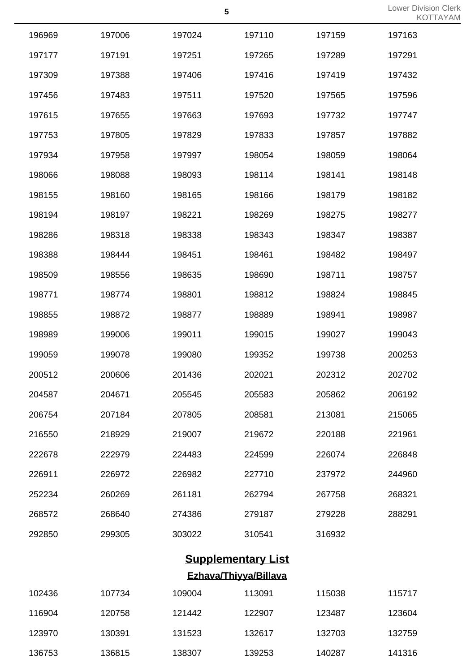|        |        |        |        |        | ĸΟ     |
|--------|--------|--------|--------|--------|--------|
| 196969 | 197006 | 197024 | 197110 | 197159 | 197163 |
| 197177 | 197191 | 197251 | 197265 | 197289 | 197291 |
| 197309 | 197388 | 197406 | 197416 | 197419 | 197432 |
| 197456 | 197483 | 197511 | 197520 | 197565 | 197596 |
| 197615 | 197655 | 197663 | 197693 | 197732 | 197747 |
| 197753 | 197805 | 197829 | 197833 | 197857 | 197882 |
| 197934 | 197958 | 197997 | 198054 | 198059 | 198064 |
| 198066 | 198088 | 198093 | 198114 | 198141 | 198148 |
| 198155 | 198160 | 198165 | 198166 | 198179 | 198182 |
| 198194 | 198197 | 198221 | 198269 | 198275 | 198277 |
| 198286 | 198318 | 198338 | 198343 | 198347 | 198387 |
| 198388 | 198444 | 198451 | 198461 | 198482 | 198497 |
| 198509 | 198556 | 198635 | 198690 | 198711 | 198757 |
| 198771 | 198774 | 198801 | 198812 | 198824 | 198845 |
| 198855 | 198872 | 198877 | 198889 | 198941 | 198987 |
| 198989 | 199006 | 199011 | 199015 | 199027 | 199043 |
| 199059 | 199078 | 199080 | 199352 | 199738 | 200253 |
| 200512 | 200606 | 201436 | 202021 | 202312 | 202702 |
| 204587 | 204671 | 205545 | 205583 | 205862 | 206192 |
| 206754 | 207184 | 207805 | 208581 | 213081 | 215065 |
| 216550 | 218929 | 219007 | 219672 | 220188 | 221961 |
| 222678 | 222979 | 224483 | 224599 | 226074 | 226848 |
| 226911 | 226972 | 226982 | 227710 | 237972 | 244960 |
| 252234 | 260269 | 261181 | 262794 | 267758 | 268321 |
| 268572 | 268640 | 274386 | 279187 | 279228 | 288291 |
| 292850 | 299305 | 303022 | 310541 | 316932 |        |
|        |        |        |        |        |        |

## **Supplementary List**

## **Ezhava/Thiyya/Billava**

| 102436 | 107734 | 109004 | 113091 | 115038 | 115717 |
|--------|--------|--------|--------|--------|--------|
| 116904 | 120758 | 121442 | 122907 | 123487 | 123604 |
| 123970 | 130391 | 131523 | 132617 | 132703 | 132759 |
| 136753 | 136815 | 138307 | 139253 | 140287 | 141316 |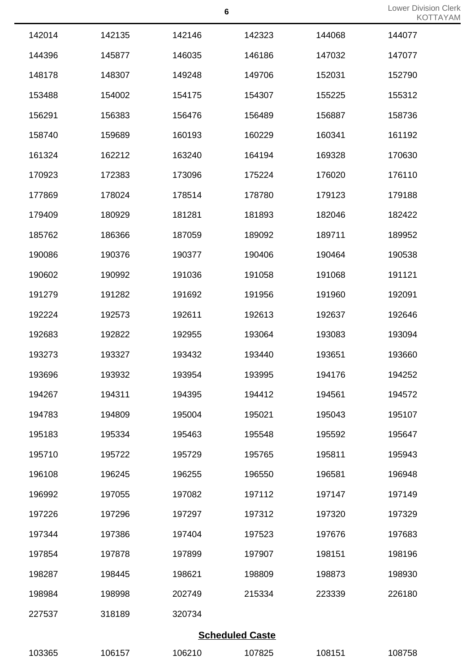|                        |        |        |        |        | ΠV     |  |
|------------------------|--------|--------|--------|--------|--------|--|
| 142014                 | 142135 | 142146 | 142323 | 144068 | 144077 |  |
| 144396                 | 145877 | 146035 | 146186 | 147032 | 147077 |  |
| 148178                 | 148307 | 149248 | 149706 | 152031 | 152790 |  |
| 153488                 | 154002 | 154175 | 154307 | 155225 | 155312 |  |
| 156291                 | 156383 | 156476 | 156489 | 156887 | 158736 |  |
| 158740                 | 159689 | 160193 | 160229 | 160341 | 161192 |  |
| 161324                 | 162212 | 163240 | 164194 | 169328 | 170630 |  |
| 170923                 | 172383 | 173096 | 175224 | 176020 | 176110 |  |
| 177869                 | 178024 | 178514 | 178780 | 179123 | 179188 |  |
| 179409                 | 180929 | 181281 | 181893 | 182046 | 182422 |  |
| 185762                 | 186366 | 187059 | 189092 | 189711 | 189952 |  |
| 190086                 | 190376 | 190377 | 190406 | 190464 | 190538 |  |
| 190602                 | 190992 | 191036 | 191058 | 191068 | 191121 |  |
| 191279                 | 191282 | 191692 | 191956 | 191960 | 192091 |  |
| 192224                 | 192573 | 192611 | 192613 | 192637 | 192646 |  |
| 192683                 | 192822 | 192955 | 193064 | 193083 | 193094 |  |
| 193273                 | 193327 | 193432 | 193440 | 193651 | 193660 |  |
| 193696                 | 193932 | 193954 | 193995 | 194176 | 194252 |  |
| 194267                 | 194311 | 194395 | 194412 | 194561 | 194572 |  |
| 194783                 | 194809 | 195004 | 195021 | 195043 | 195107 |  |
| 195183                 | 195334 | 195463 | 195548 | 195592 | 195647 |  |
| 195710                 | 195722 | 195729 | 195765 | 195811 | 195943 |  |
| 196108                 | 196245 | 196255 | 196550 | 196581 | 196948 |  |
| 196992                 | 197055 | 197082 | 197112 | 197147 | 197149 |  |
| 197226                 | 197296 | 197297 | 197312 | 197320 | 197329 |  |
| 197344                 | 197386 | 197404 | 197523 | 197676 | 197683 |  |
| 197854                 | 197878 | 197899 | 197907 | 198151 | 198196 |  |
| 198287                 | 198445 | 198621 | 198809 | 198873 | 198930 |  |
| 198984                 | 198998 | 202749 | 215334 | 223339 | 226180 |  |
| 227537                 | 318189 | 320734 |        |        |        |  |
| <b>Scheduled Caste</b> |        |        |        |        |        |  |
| 103365                 | 106157 | 106210 | 107825 | 108151 | 108758 |  |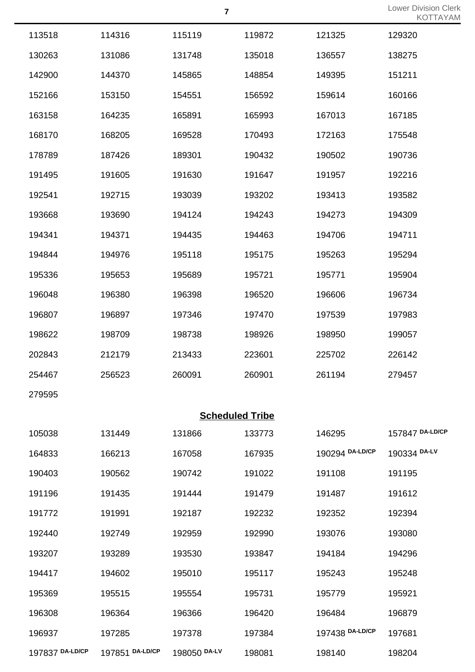|        |        |        | $\overline{7}$         |                 | Lower Division C<br><b>KOTTAY</b> |
|--------|--------|--------|------------------------|-----------------|-----------------------------------|
| 113518 | 114316 | 115119 | 119872                 | 121325          | 129320                            |
| 130263 | 131086 | 131748 | 135018                 | 136557          | 138275                            |
| 142900 | 144370 | 145865 | 148854                 | 149395          | 151211                            |
| 152166 | 153150 | 154551 | 156592                 | 159614          | 160166                            |
| 163158 | 164235 | 165891 | 165993                 | 167013          | 167185                            |
| 168170 | 168205 | 169528 | 170493                 | 172163          | 175548                            |
| 178789 | 187426 | 189301 | 190432                 | 190502          | 190736                            |
| 191495 | 191605 | 191630 | 191647                 | 191957          | 192216                            |
| 192541 | 192715 | 193039 | 193202                 | 193413          | 193582                            |
| 193668 | 193690 | 194124 | 194243                 | 194273          | 194309                            |
| 194341 | 194371 | 194435 | 194463                 | 194706          | 194711                            |
| 194844 | 194976 | 195118 | 195175                 | 195263          | 195294                            |
| 195336 | 195653 | 195689 | 195721                 | 195771          | 195904                            |
| 196048 | 196380 | 196398 | 196520                 | 196606          | 196734                            |
| 196807 | 196897 | 197346 | 197470                 | 197539          | 197983                            |
| 198622 | 198709 | 198738 | 198926                 | 198950          | 199057                            |
| 202843 | 212179 | 213433 | 223601                 | 225702          | 226142                            |
| 254467 | 256523 | 260091 | 260901                 | 261194          | 279457                            |
| 279595 |        |        |                        |                 |                                   |
|        |        |        | <b>Scheduled Tribe</b> |                 |                                   |
| 105038 | 131449 | 131866 | 133773                 | 146295          | 157847 DA-LD/CP                   |
| 164833 | 166213 | 167058 | 167935                 | 190294 DA-LD/CP | 190334 DA-LV                      |
| 190403 | 190562 | 190742 | 191022                 | 191108          | 191195                            |
| 191196 | 191435 | 191444 | 191479                 | 191487          | 191612                            |
| 191772 | 191991 | 192187 | 192232                 | 192352          | 192394                            |
| 192440 | 192749 | 192959 | 192990                 | 193076          | 193080                            |
| 193207 | 193289 | 193530 | 193847                 | 194184          | 194296                            |
| 194417 | 194602 | 195010 | 195117                 | 195243          | 195248                            |
| 195369 | 195515 | 195554 | 195731                 | 195779          | 195921                            |
| 196308 | 196364 | 196366 | 196420                 | 196484          | 196879                            |
| 196937 | 197285 | 197378 | 197384                 | 197438 DA-LD/CP | 197681                            |

**DA-LD/CP** 197851 **DA-LD/CP** 198050 **DA-LV** 198081 198140 198204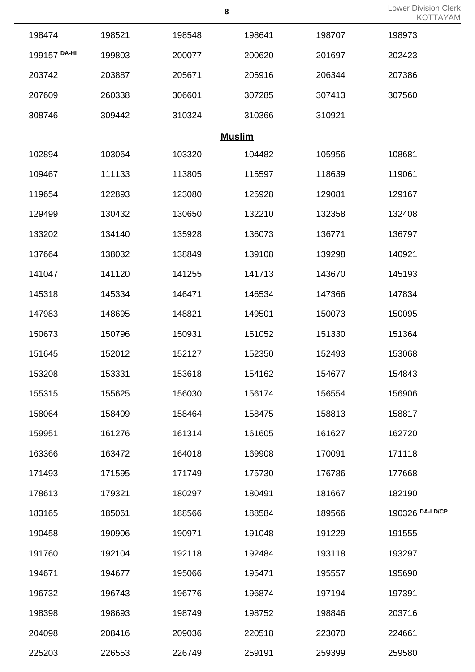| <b>Lower Division Clerk</b> |  |
|-----------------------------|--|
| KOTTAYAM                    |  |

|              |        |        | 8             |        | Lower Division Cle<br>KOTTAY/ |
|--------------|--------|--------|---------------|--------|-------------------------------|
| 198474       | 198521 | 198548 | 198641        | 198707 | 198973                        |
| 199157 DA-HI | 199803 | 200077 | 200620        | 201697 | 202423                        |
| 203742       | 203887 | 205671 | 205916        | 206344 | 207386                        |
| 207609       | 260338 | 306601 | 307285        | 307413 | 307560                        |
| 308746       | 309442 | 310324 | 310366        | 310921 |                               |
|              |        |        | <b>Muslim</b> |        |                               |
| 102894       | 103064 | 103320 | 104482        | 105956 | 108681                        |
| 109467       | 111133 | 113805 | 115597        | 118639 | 119061                        |
| 119654       | 122893 | 123080 | 125928        | 129081 | 129167                        |
| 129499       | 130432 | 130650 | 132210        | 132358 | 132408                        |
| 133202       | 134140 | 135928 | 136073        | 136771 | 136797                        |
| 137664       | 138032 | 138849 | 139108        | 139298 | 140921                        |
| 141047       | 141120 | 141255 | 141713        | 143670 | 145193                        |
| 145318       | 145334 | 146471 | 146534        | 147366 | 147834                        |
| 147983       | 148695 | 148821 | 149501        | 150073 | 150095                        |
| 150673       | 150796 | 150931 | 151052        | 151330 | 151364                        |
| 151645       | 152012 | 152127 | 152350        | 152493 | 153068                        |
| 153208       | 153331 | 153618 | 154162        | 154677 | 154843                        |
| 155315       | 155625 | 156030 | 156174        | 156554 | 156906                        |
| 158064       | 158409 | 158464 | 158475        | 158813 | 158817                        |
| 159951       | 161276 | 161314 | 161605        | 161627 | 162720                        |
| 163366       | 163472 | 164018 | 169908        | 170091 | 171118                        |
| 171493       | 171595 | 171749 | 175730        | 176786 | 177668                        |
| 178613       | 179321 | 180297 | 180491        | 181667 | 182190                        |
| 183165       | 185061 | 188566 | 188584        | 189566 | 190326 DA-LD/CP               |
| 190458       | 190906 | 190971 | 191048        | 191229 | 191555                        |
| 191760       | 192104 | 192118 | 192484        | 193118 | 193297                        |
| 194671       | 194677 | 195066 | 195471        | 195557 | 195690                        |
| 196732       | 196743 | 196776 | 196874        | 197194 | 197391                        |
| 198398       | 198693 | 198749 | 198752        | 198846 | 203716                        |
| 204098       | 208416 | 209036 | 220518        | 223070 | 224661                        |
| 225203       | 226553 | 226749 | 259191        | 259399 | 259580                        |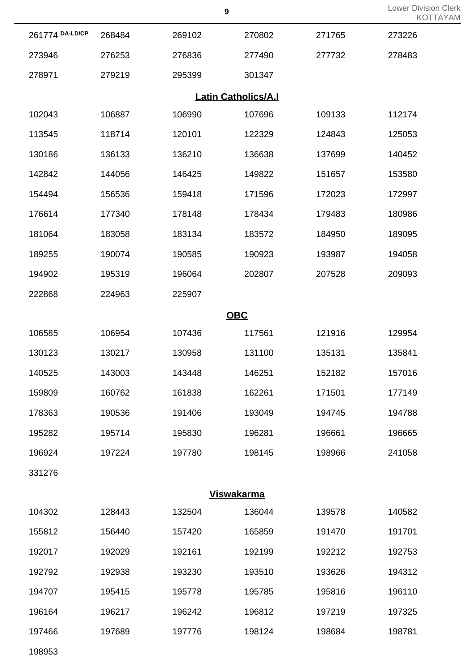| 261774 DA-LD/CP | 268484 | 269102                     | 270802 | 271765 | 273226 |
|-----------------|--------|----------------------------|--------|--------|--------|
| 273946          | 276253 | 276836                     | 277490 | 277732 | 278483 |
| 278971          | 279219 | 295399                     | 301347 |        |        |
|                 |        | <b>Latin Catholics/A.I</b> |        |        |        |
| 102043          | 106887 | 106990                     | 107696 | 109133 | 112174 |
| 113545          | 118714 | 120101                     | 122329 | 124843 | 125053 |
| 130186          | 136133 | 136210                     | 136638 | 137699 | 140452 |
| 142842          | 144056 | 146425                     | 149822 | 151657 | 153580 |
| 154494          | 156536 | 159418                     | 171596 | 172023 | 172997 |
| 176614          | 177340 | 178148                     | 178434 | 179483 | 180986 |
| 181064          | 183058 | 183134                     | 183572 | 184950 | 189095 |
| 189255          | 190074 | 190585                     | 190923 | 193987 | 194058 |
| 194902          | 195319 | 196064                     | 202807 | 207528 | 209093 |
| 222868          | 224963 | 225907                     |        |        |        |
|                 |        | <b>OBC</b>                 |        |        |        |
| 106585          | 106954 | 107436                     | 117561 | 121916 | 129954 |
| 130123          | 130217 | 130958                     | 131100 | 135131 | 135841 |
| 140525          | 143003 | 143448                     | 146251 | 152182 | 157016 |
| 159809          | 160762 | 161838                     | 162261 | 171501 | 177149 |
| 178363          | 190536 | 191406                     | 193049 | 194745 | 194788 |
| 195282          | 195714 | 195830                     | 196281 | 196661 | 196665 |
| 196924          | 197224 | 197780                     | 198145 | 198966 | 241058 |
| 331276          |        |                            |        |        |        |
|                 |        | <b>Viswakarma</b>          |        |        |        |
| 104302          | 128443 | 132504                     | 136044 | 139578 | 140582 |
| 155812          | 156440 | 157420                     | 165859 | 191470 | 191701 |
| 192017          | 192029 | 192161                     | 192199 | 192212 | 192753 |
| 192792          | 192938 | 193230                     | 193510 | 193626 | 194312 |
| 194707          | 195415 | 195778                     | 195785 | 195816 | 196110 |
| 196164          | 196217 | 196242                     | 196812 | 197219 | 197325 |
| 197466          | 197689 | 197776                     | 198124 | 198684 | 198781 |
|                 |        |                            |        |        |        |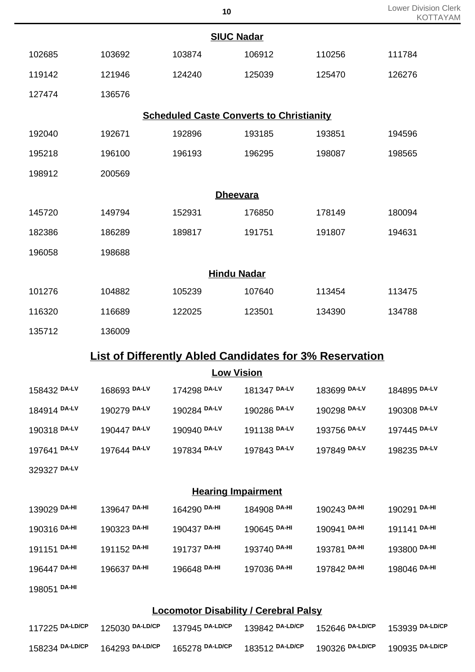| 10 | <b>Lower Division Clerk</b> |
|----|-----------------------------|
|    | <b>KOTTAYAM</b>             |

|                 |                 |                 |                                                                |                 | .               |
|-----------------|-----------------|-----------------|----------------------------------------------------------------|-----------------|-----------------|
|                 |                 |                 | <b>SIUC Nadar</b>                                              |                 |                 |
| 102685          | 103692          | 103874          | 106912                                                         | 110256          | 111784          |
| 119142          | 121946          | 124240          | 125039                                                         | 125470          | 126276          |
| 127474          | 136576          |                 |                                                                |                 |                 |
|                 |                 |                 | <b>Scheduled Caste Converts to Christianity</b>                |                 |                 |
| 192040          | 192671          | 192896          | 193185                                                         | 193851          | 194596          |
| 195218          | 196100          | 196193          | 196295                                                         | 198087          | 198565          |
| 198912          | 200569          |                 |                                                                |                 |                 |
|                 |                 |                 | <b>Dheevara</b>                                                |                 |                 |
| 145720          | 149794          | 152931          | 176850                                                         | 178149          | 180094          |
| 182386          | 186289          | 189817          | 191751                                                         | 191807          | 194631          |
| 196058          | 198688          |                 |                                                                |                 |                 |
|                 |                 |                 | <b>Hindu Nadar</b>                                             |                 |                 |
| 101276          | 104882          | 105239          | 107640                                                         | 113454          | 113475          |
| 116320          | 116689          | 122025          | 123501                                                         | 134390          | 134788          |
| 135712          | 136009          |                 |                                                                |                 |                 |
|                 |                 |                 | <b>List of Differently Abled Candidates for 3% Reservation</b> |                 |                 |
|                 |                 |                 | <b>Low Vision</b>                                              |                 |                 |
| 158432 DA-LV    | 168693 DA-LV    | 174298 DA-LV    | 181347 DA-LV                                                   | 183699 DA-LV    | 184895 DA-LV    |
| 184914 DA-LV    | 190279 DA-LV    | 190284 DA-LV    | 190286 DA-LV                                                   | 190298 DA-LV    | 190308 DA-LV    |
| 190318 DA-LV    | 190447 DA-LV    | 190940 DA-LV    | 191138 DA-LV                                                   | 193756 DA-LV    | 197445 DA-LV    |
| 197641 DA-LV    | 197644 DA-LV    | 197834 DA-LV    | 197843 DA-LV                                                   | 197849 DA-LV    | 198235 DA-LV    |
| 329327 DA-LV    |                 |                 |                                                                |                 |                 |
|                 |                 |                 | <b>Hearing Impairment</b>                                      |                 |                 |
| 139029 DA-HI    | 139647 DA-HI    | 164290 DA-HI    | 184908 DA-HI                                                   | 190243 DA-HI    | 190291 DA-HI    |
| 190316 DA-HI    | 190323 DA-HI    | 190437 DA-HI    | 190645 DA-HI                                                   | 190941 DA-HI    | 191141 DA-HI    |
| 191151 DA-HI    | 191152 DA-HI    | 191737 DA-HI    | 193740 DA-HI                                                   | 193781 DA-HI    | 193800 DA-HI    |
| 196447 DA-HI    | 196637 DA-HI    | 196648 DA-HI    | 197036 DA-HI                                                   | 197842 DA-HI    | 198046 DA-HI    |
| 198051 DA-HI    |                 |                 |                                                                |                 |                 |
|                 |                 |                 | <b>Locomotor Disability / Cerebral Palsy</b>                   |                 |                 |
| 117225 DA-LD/CP | 125030 DA-LD/CP | 137945 DA-LD/CP | 139842 DA-LD/CP                                                | 152646 DA-LD/CP | 153939 DA-LD/CP |

**DA-LD/CP** 164293 **DA-LD/CP** 165278 **DA-LD/CP** 183512 **DA-LD/CP** 190326 **DA-LD/CP** 190935 **DA-LD/CP**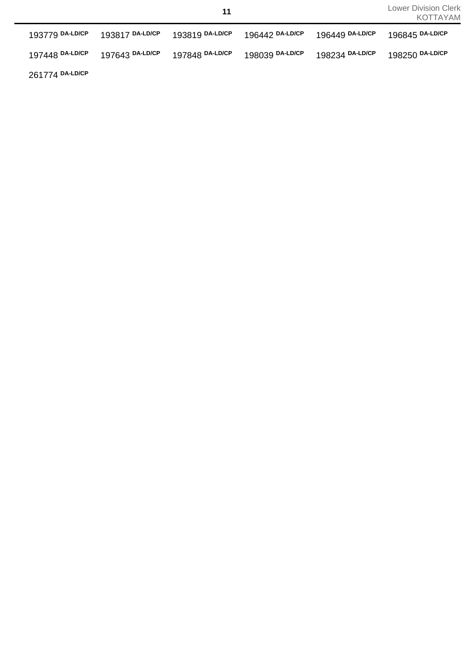| 261774 DA-LD/CP |  |
|-----------------|--|
|-----------------|--|

| 193779 DA-LD/CP | 193817 DA-LD/CP | 193819 <sup>DA-LD/CP</sup> | 196442 DA-LD/CP | 196449 DA-LD/CP | 196845 DA-LD/CP |
|-----------------|-----------------|----------------------------|-----------------|-----------------|-----------------|
| 197448 DA-LD/CP | 197643 DA-LD/CP | 197848 DA-LD/CP            | 198039 DA-LD/CP | 198234 DA-LD/CP | 198250 DA-LD/CP |